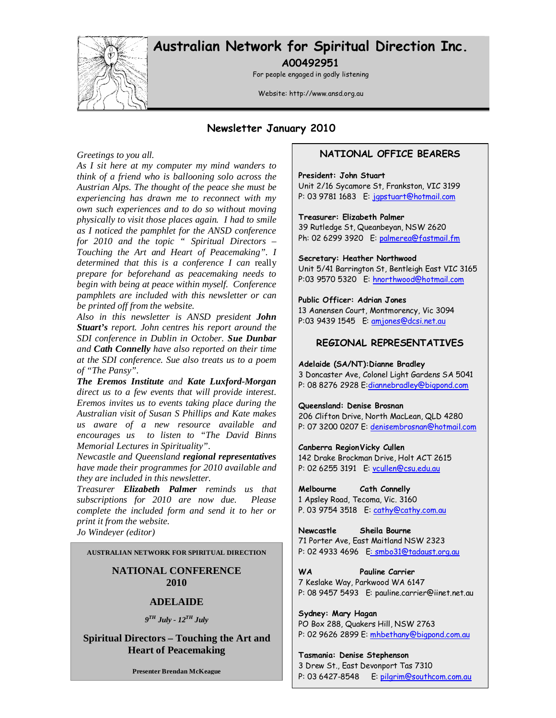

# Australian Network for Spiritual Direction Inc. A00492951

For people engaged in godly listening

Website: http://www.ansd.org.au

## Newsletter January 2010

#### *Greetings to you all.*

*As I sit here at my computer my mind wanders to think of a friend who is ballooning solo across the Austrian Alps. The thought of the peace she must be experiencing has drawn me to reconnect with my own such experiences and to do so without moving physically to visit those places again. I had to smile as I noticed the pamphlet for the ANSD conference for 2010 and the topic " Spiritual Directors – Touching the Art and Heart of Peacemaking". I determined that this is a conference I can* really *prepare for beforehand as peacemaking needs to begin with being at peace within myself. Conference pamphlets are included with this newsletter or can be printed off from the website.* 

*Also in this newsletter is ANSD president John Stuart's report. John centres his report around the SDI conference in Dublin in October. Sue Dunbar and Cath Connelly have also reported on their time at the SDI conference. Sue also treats us to a poem of "The Pansy".* 

*The Eremos Institute and Kate Luxford-Morgan direct us to a few events that will provide interest. Eremos invites us to events taking place during the Australian visit of Susan S Phillips and Kate makes us aware of a new resource available and encourages us to listen to "The David Binns Memorial Lectures in Spirituality".* 

*Newcastle and Queensland regional representatives have made their programmes for 2010 available and they are included in this newsletter.* 

*Treasurer Elizabeth Palmer reminds us that subscriptions for 2010 are now due. Please complete the included form and send it to her or print it from the website. Jo Windeyer (editor)*

**AUSTRALIAN NETWORK FOR SPIRITUAL DIRECTION** 

## **NATIONAL CONFERENCE 2010**

### **ADELAIDE**

*9 TH July - 12TH July* 

**Spiritual Directors – Touching the Art and Heart of Peacemaking** 

**Presenter Brendan McKeague**

### NATIONAL OFFICE BEARERS

#### President: John Stuart

Unit 2/16 Sycamore St, Frankston, VIC 3199 P: 03 9781 1683 E: japstuart@hotmail.com

#### Treasurer: Elizabeth Palmer

39 Rutledge St, Queanbeyan, NSW 2620 Ph: 02 6299 3920 E: palmerea@fastmail.fm

Secretary: Heather Northwood

Unit 5/41 Barrington St, Bentleigh East VIC 3165 P:03 9570 5320 E: hnorthwood@hotmail.com

#### Public Officer: Adrian Jones

13 Aanensen Court, Montmorency, Vic 3094 P:03 9439 1545 E: amjones@dcsi.net.au

### REGIONAL REPRESENTATIVES

#### Adelaide (SA/NT):Dianne Bradley

3 Doncaster Ave, Colonel Light Gardens SA 5041 P: 08 8276 2928 E:diannebradley@bigpond.com

#### Queensland: Denise Brosnan

206 Clifton Drive, North MacLean, QLD 4280 P: 07 3200 0207 E: denisembrosnan@hotmail.com

#### Canberra Region Vicky Cullen

142 Drake Brockman Drive, Holt ACT 2615 P: 02 6255 3191 E: vcullen@csu.edu.au

#### Melbourne Cath Connelly

1 Apsley Road, Tecoma, Vic. 3160 P. 03 9754 3518 E: cathy@cathy.com.au

Newcastle Sheila Bourne 71 Porter Ave, East Maitland NSW 2323 P: 02 4933 4696 E: smbo31@tadaust.org.au

WA Pauline Carrier 7 Keslake Way, Parkwood WA 6147 P: 08 9457 5493 E: pauline.carrier@iinet.net.au

Sydney: Mary Hagan PO Box 288, Quakers Hill, NSW 2763 P: 02 9626 2899 E: mhbethany@bigpond.com.au

Tasmania: Denise Stephenson 3 Drew St., East Devonport Tas 7310 P: 03 6427-8548 E: pilgrim@southcom.com.au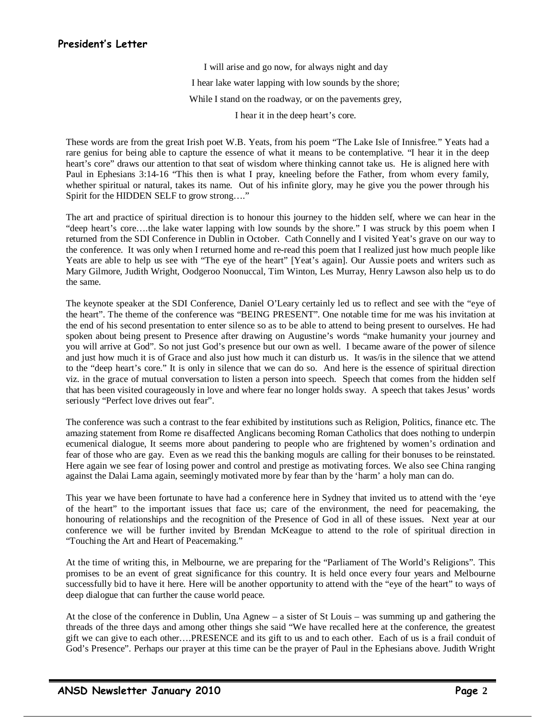# President's Letter

I will arise and go now, for always night and day I hear lake water lapping with low sounds by the shore; While I stand on the roadway, or on the pavements grey, I hear it in the deep heart's core.

These words are from the great Irish poet W.B. Yeats, from his poem "The Lake Isle of Innisfree." Yeats had a rare genius for being able to capture the essence of what it means to be contemplative. "I hear it in the deep heart's core" draws our attention to that seat of wisdom where thinking cannot take us. He is aligned here with Paul in Ephesians 3:14-16 "This then is what I pray, kneeling before the Father, from whom every family, whether spiritual or natural, takes its name. Out of his infinite glory, may he give you the power through his Spirit for the HIDDEN SELF to grow strong…."

The art and practice of spiritual direction is to honour this journey to the hidden self, where we can hear in the "deep heart's core….the lake water lapping with low sounds by the shore." I was struck by this poem when I returned from the SDI Conference in Dublin in October. Cath Connelly and I visited Yeat's grave on our way to the conference. It was only when I returned home and re-read this poem that I realized just how much people like Yeats are able to help us see with "The eye of the heart" [Yeat's again]. Our Aussie poets and writers such as Mary Gilmore, Judith Wright, Oodgeroo Noonuccal, Tim Winton, Les Murray, Henry Lawson also help us to do the same.

The keynote speaker at the SDI Conference, Daniel O'Leary certainly led us to reflect and see with the "eye of the heart". The theme of the conference was "BEING PRESENT". One notable time for me was his invitation at the end of his second presentation to enter silence so as to be able to attend to being present to ourselves. He had spoken about being present to Presence after drawing on Augustine's words "make humanity your journey and you will arrive at God". So not just God's presence but our own as well. I became aware of the power of silence and just how much it is of Grace and also just how much it can disturb us. It was/is in the silence that we attend to the "deep heart's core." It is only in silence that we can do so. And here is the essence of spiritual direction viz. in the grace of mutual conversation to listen a person into speech. Speech that comes from the hidden self that has been visited courageously in love and where fear no longer holds sway. A speech that takes Jesus' words seriously "Perfect love drives out fear".

The conference was such a contrast to the fear exhibited by institutions such as Religion, Politics, finance etc. The amazing statement from Rome re disaffected Anglicans becoming Roman Catholics that does nothing to underpin ecumenical dialogue, It seems more about pandering to people who are frightened by women's ordination and fear of those who are gay. Even as we read this the banking moguls are calling for their bonuses to be reinstated. Here again we see fear of losing power and control and prestige as motivating forces. We also see China ranging against the Dalai Lama again, seemingly motivated more by fear than by the 'harm' a holy man can do.

This year we have been fortunate to have had a conference here in Sydney that invited us to attend with the 'eye of the heart" to the important issues that face us; care of the environment, the need for peacemaking, the honouring of relationships and the recognition of the Presence of God in all of these issues. Next year at our conference we will be further invited by Brendan McKeague to attend to the role of spiritual direction in "Touching the Art and Heart of Peacemaking."

At the time of writing this, in Melbourne, we are preparing for the "Parliament of The World's Religions". This promises to be an event of great significance for this country. It is held once every four years and Melbourne successfully bid to have it here. Here will be another opportunity to attend with the "eye of the heart" to ways of deep dialogue that can further the cause world peace.

At the close of the conference in Dublin, Una Agnew – a sister of St Louis – was summing up and gathering the threads of the three days and among other things she said "We have recalled here at the conference, the greatest gift we can give to each other….PRESENCE and its gift to us and to each other. Each of us is a frail conduit of God's Presence". Perhaps our prayer at this time can be the prayer of Paul in the Ephesians above. Judith Wright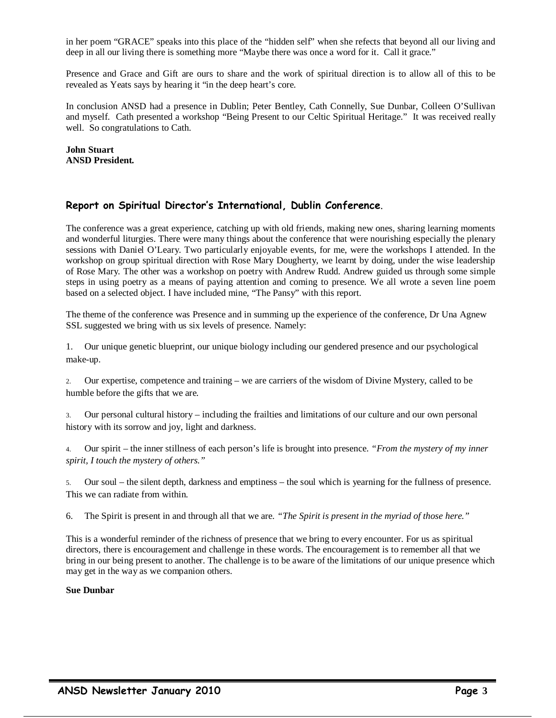in her poem "GRACE" speaks into this place of the "hidden self" when she refects that beyond all our living and deep in all our living there is something more "Maybe there was once a word for it. Call it grace."

Presence and Grace and Gift are ours to share and the work of spiritual direction is to allow all of this to be revealed as Yeats says by hearing it "in the deep heart's core.

In conclusion ANSD had a presence in Dublin; Peter Bentley, Cath Connelly, Sue Dunbar, Colleen O'Sullivan and myself. Cath presented a workshop "Being Present to our Celtic Spiritual Heritage." It was received really well. So congratulations to Cath.

### **John Stuart ANSD President.**

### Report on Spiritual Director's International, Dublin Conference.

The conference was a great experience, catching up with old friends, making new ones, sharing learning moments and wonderful liturgies. There were many things about the conference that were nourishing especially the plenary sessions with Daniel O'Leary. Two particularly enjoyable events, for me, were the workshops I attended. In the workshop on group spiritual direction with Rose Mary Dougherty, we learnt by doing, under the wise leadership of Rose Mary. The other was a workshop on poetry with Andrew Rudd. Andrew guided us through some simple steps in using poetry as a means of paying attention and coming to presence. We all wrote a seven line poem based on a selected object. I have included mine, "The Pansy" with this report.

The theme of the conference was Presence and in summing up the experience of the conference, Dr Una Agnew SSL suggested we bring with us six levels of presence. Namely:

1. Our unique genetic blueprint, our unique biology including our gendered presence and our psychological make-up.

2. Our expertise, competence and training – we are carriers of the wisdom of Divine Mystery, called to be humble before the gifts that we are.

3. Our personal cultural history – including the frailties and limitations of our culture and our own personal history with its sorrow and joy, light and darkness.

4. Our spirit – the inner stillness of each person's life is brought into presence. *"From the mystery of my inner spirit, I touch the mystery of others."* 

5. Our soul – the silent depth, darkness and emptiness – the soul which is yearning for the fullness of presence. This we can radiate from within.

6. The Spirit is present in and through all that we are. *"The Spirit is present in the myriad of those here."*

This is a wonderful reminder of the richness of presence that we bring to every encounter. For us as spiritual directors, there is encouragement and challenge in these words. The encouragement is to remember all that we bring in our being present to another. The challenge is to be aware of the limitations of our unique presence which may get in the way as we companion others.

#### **Sue Dunbar**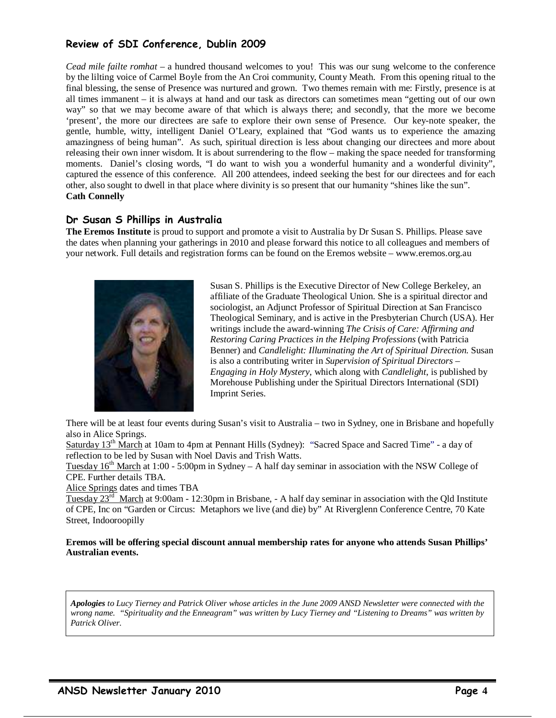# Review of SDI Conference, Dublin 2009

*Cead mile failte romhat* – a hundred thousand welcomes to you! This was our sung welcome to the conference by the lilting voice of Carmel Boyle from the An Croi community, County Meath. From this opening ritual to the final blessing, the sense of Presence was nurtured and grown. Two themes remain with me: Firstly, presence is at all times immanent – it is always at hand and our task as directors can sometimes mean "getting out of our own way" so that we may become aware of that which is always there; and secondly, that the more we become 'present', the more our directees are safe to explore their own sense of Presence. Our key-note speaker, the gentle, humble, witty, intelligent Daniel O'Leary, explained that "God wants us to experience the amazing amazingness of being human". As such, spiritual direction is less about changing our directees and more about releasing their own inner wisdom. It is about surrendering to the flow – making the space needed for transforming moments. Daniel's closing words, "I do want to wish you a wonderful humanity and a wonderful divinity", captured the essence of this conference. All 200 attendees, indeed seeking the best for our directees and for each other, also sought to dwell in that place where divinity is so present that our humanity "shines like the sun". **Cath Connelly** 

## Dr Susan S Phillips in Australia

**The Eremos Institute** is proud to support and promote a visit to Australia by Dr Susan S. Phillips. Please save the dates when planning your gatherings in 2010 and please forward this notice to all colleagues and members of your network. Full details and registration forms can be found on the Eremos website – www.eremos.org.au



Susan S. Phillips is the Executive Director of New College Berkeley, an affiliate of the Graduate Theological Union. She is a spiritual director and sociologist, an Adjunct Professor of Spiritual Direction at San Francisco Theological Seminary, and is active in the Presbyterian Church (USA). Her writings include the award-winning *The Crisis of Care: Affirming and Restoring Caring Practices in the Helping Professions* (with Patricia Benner) and *Candlelight: Illuminating the Art of Spiritual Direction*. Susan is also a contributing writer in *Supervision of Spiritual Directors – Engaging in Holy Mystery*, which along with *Candlelight*, is published by Morehouse Publishing under the Spiritual Directors International (SDI) Imprint Series.

There will be at least four events during Susan's visit to Australia – two in Sydney, one in Brisbane and hopefully also in Alice Springs.

Saturday 13th March at 10am to 4pm at Pennant Hills (Sydney): "Sacred Space and Sacred Time" *-* a day of reflection to be led by Susan with Noel Davis and Trish Watts.

Tuesday  $16<sup>th</sup>$  March at 1:00 - 5:00pm in Sydney – A half day seminar in association with the NSW College of CPE*.* Further details TBA.

Alice Springs dates and times TBA

Tuesday 23rd March at 9:00am - 12:30pm in Brisbane, - A half day seminar in association with the Qld Institute of CPE, Inc on "Garden or Circus: Metaphors we live (and die) by" At Riverglenn Conference Centre, 70 Kate Street, Indooroopilly

**Eremos will be offering special discount annual membership rates for anyone who attends Susan Phillips' Australian events.**

*Apologies to Lucy Tierney and Patrick Oliver whose articles in the June 2009 ANSD Newsletter were connected with the wrong name. "Spirituality and the Enneagram" was written by Lucy Tierney and "Listening to Dreams" was written by Patrick Oliver.*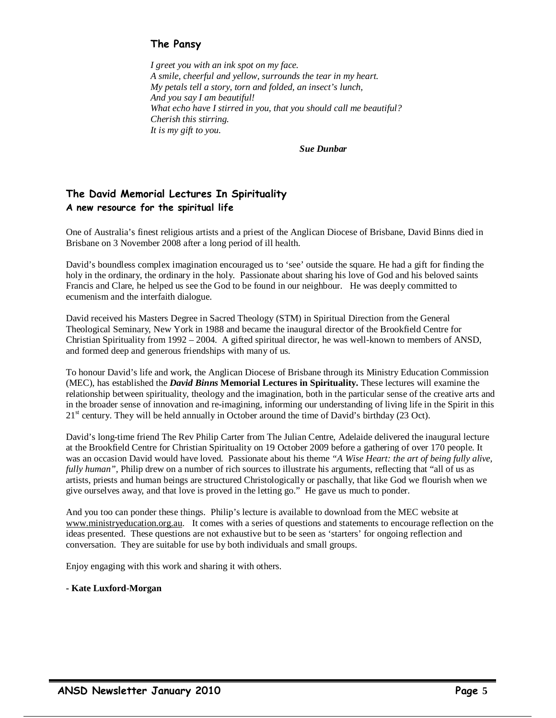# The Pansy

*I greet you with an ink spot on my face. A smile, cheerful and yellow, surrounds the tear in my heart. My petals tell a story, torn and folded, an insect's lunch, And you say I am beautiful! What echo have I stirred in you, that you should call me beautiful? Cherish this stirring. It is my gift to you.* 

*Sue Dunbar* 

# The David Memorial Lectures In Spirituality A new resource for the spiritual life

One of Australia's finest religious artists and a priest of the Anglican Diocese of Brisbane, David Binns died in Brisbane on 3 November 2008 after a long period of ill health.

David's boundless complex imagination encouraged us to 'see' outside the square. He had a gift for finding the holy in the ordinary, the ordinary in the holy. Passionate about sharing his love of God and his beloved saints Francis and Clare, he helped us see the God to be found in our neighbour. He was deeply committed to ecumenism and the interfaith dialogue.

David received his Masters Degree in Sacred Theology (STM) in Spiritual Direction from the General Theological Seminary, New York in 1988 and became the inaugural director of the Brookfield Centre for Christian Spirituality from 1992 – 2004. A gifted spiritual director, he was well-known to members of ANSD, and formed deep and generous friendships with many of us.

To honour David's life and work, the Anglican Diocese of Brisbane through its Ministry Education Commission (MEC), has established the *David Binns* **Memorial Lectures in Spirituality.** These lectures will examine the relationship between spirituality, theology and the imagination, both in the particular sense of the creative arts and in the broader sense of innovation and re-imagining, informing our understanding of living life in the Spirit in this  $21<sup>st</sup>$  century. They will be held annually in October around the time of David's birthday (23 Oct).

David's long-time friend The Rev Philip Carter from The Julian Centre, Adelaide delivered the inaugural lecture at the Brookfield Centre for Christian Spirituality on 19 October 2009 before a gathering of over 170 people. It was an occasion David would have loved. Passionate about his theme *"A Wise Heart: the art of being fully alive, fully human"*, Philip drew on a number of rich sources to illustrate his arguments, reflecting that "all of us as artists, priests and human beings are structured Christologically or paschally, that like God we flourish when we give ourselves away, and that love is proved in the letting go." He gave us much to ponder.

And you too can ponder these things. Philip's lecture is available to download from the MEC website at www.ministryeducation.org.au. It comes with a series of questions and statements to encourage reflection on the ideas presented. These questions are not exhaustive but to be seen as 'starters' for ongoing reflection and conversation. They are suitable for use by both individuals and small groups.

Enjoy engaging with this work and sharing it with others.

## **- Kate Luxford-Morgan**